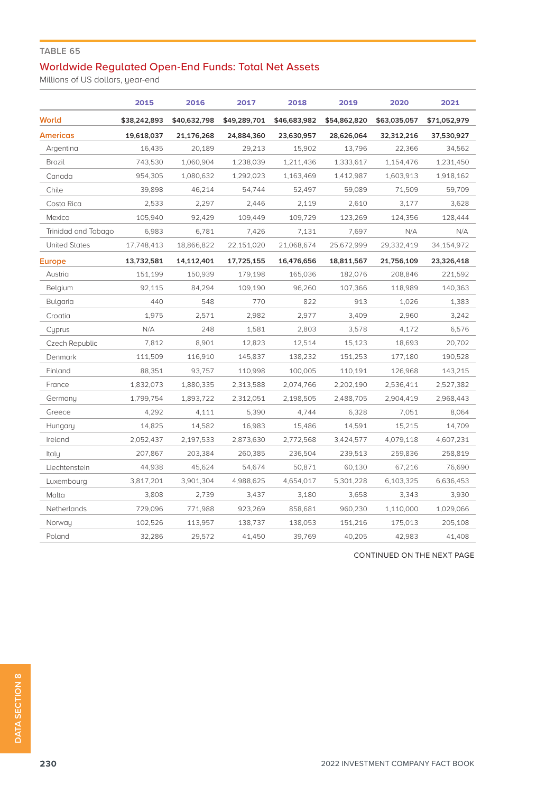## **TABLE 65**

## Worldwide Regulated Open-End Funds: Total Net Assets

Millions of US dollars, year-end

|                      | 2015         | 2016         | 2017         | 2018         | 2019         | 2020         | 2021         |
|----------------------|--------------|--------------|--------------|--------------|--------------|--------------|--------------|
| World                | \$38,242,893 | \$40,632,798 | \$49,289,701 | \$46,683,982 | \$54,862,820 | \$63,035,057 | \$71,052,979 |
| <b>Americas</b>      | 19,618,037   | 21,176,268   | 24,884,360   | 23,630,957   | 28,626,064   | 32,312,216   | 37,530,927   |
| Argentina            | 16,435       | 20,189       | 29,213       | 15,902       | 13,796       | 22,366       | 34,562       |
| Brazil               | 743,530      | 1,060,904    | 1,238,039    | 1,211,436    | 1,333,617    | 1,154,476    | 1,231,450    |
| Canada               | 954,305      | 1,080,632    | 1,292,023    | 1,163,469    | 1,412,987    | 1,603,913    | 1,918,162    |
| Chile                | 39,898       | 46,214       | 54,744       | 52,497       | 59,089       | 71,509       | 59,709       |
| Costa Rica           | 2,533        | 2,297        | 2,446        | 2,119        | 2,610        | 3,177        | 3,628        |
| Mexico               | 105,940      | 92,429       | 109,449      | 109,729      | 123,269      | 124,356      | 128,444      |
| Trinidad and Tobago  | 6,983        | 6,781        | 7,426        | 7.131        | 7,697        | N/A          | N/A          |
| <b>United States</b> | 17,748,413   | 18,866,822   | 22,151,020   | 21,068,674   | 25,672,999   | 29,332,419   | 34,154,972   |
| <b>Europe</b>        | 13,732,581   | 14,112,401   | 17,725,155   | 16,476,656   | 18,811,567   | 21,756,109   | 23,326,418   |
| Austria              | 151,199      | 150,939      | 179,198      | 165,036      | 182,076      | 208,846      | 221,592      |
| Belgium              | 92.115       | 84,294       | 109,190      | 96,260       | 107,366      | 118,989      | 140,363      |
| Bulgaria             | 440          | 548          | 770          | 822          | 913          | 1,026        | 1,383        |
| Croatia              | 1,975        | 2,571        | 2,982        | 2,977        | 3,409        | 2,960        | 3,242        |
| Cuprus               | N/A          | 248          | 1,581        | 2,803        | 3,578        | 4,172        | 6,576        |
| Czech Republic       | 7,812        | 8,901        | 12,823       | 12,514       | 15,123       | 18,693       | 20,702       |
| Denmark              | 111,509      | 116,910      | 145,837      | 138,232      | 151,253      | 177,180      | 190,528      |
| Finland              | 88,351       | 93,757       | 110,998      | 100,005      | 110,191      | 126,968      | 143,215      |
| France               | 1,832,073    | 1,880,335    | 2,313,588    | 2,074,766    | 2,202,190    | 2,536,411    | 2,527,382    |
| Germany              | 1,799,754    | 1,893,722    | 2,312,051    | 2,198,505    | 2,488,705    | 2,904,419    | 2,968,443    |
| Greece               | 4,292        | 4,111        | 5,390        | 4,744        | 6,328        | 7,051        | 8,064        |
| Hungary              | 14,825       | 14,582       | 16,983       | 15,486       | 14,591       | 15,215       | 14,709       |
| Ireland              | 2,052,437    | 2,197,533    | 2,873,630    | 2,772,568    | 3,424,577    | 4,079,118    | 4,607,231    |
| Italy                | 207,867      | 203,384      | 260,385      | 236,504      | 239,513      | 259,836      | 258,819      |
| Liechtenstein        | 44,938       | 45,624       | 54,674       | 50,871       | 60,130       | 67,216       | 76,690       |
| Luxembourg           | 3,817,201    | 3,901,304    | 4,988,625    | 4,654,017    | 5,301,228    | 6,103,325    | 6,636,453    |
| Malta                | 3,808        | 2,739        | 3,437        | 3,180        | 3,658        | 3,343        | 3,930        |
| Netherlands          | 729,096      | 771,988      | 923,269      | 858,681      | 960,230      | 1,110,000    | 1,029,066    |
| Norway               | 102,526      | 113,957      | 138,737      | 138,053      | 151,216      | 175,013      | 205,108      |
| Poland               | 32,286       | 29,572       | 41,450       | 39,769       | 40,205       | 42,983       | 41,408       |

CONTINUED ON THE NEXT PAGE